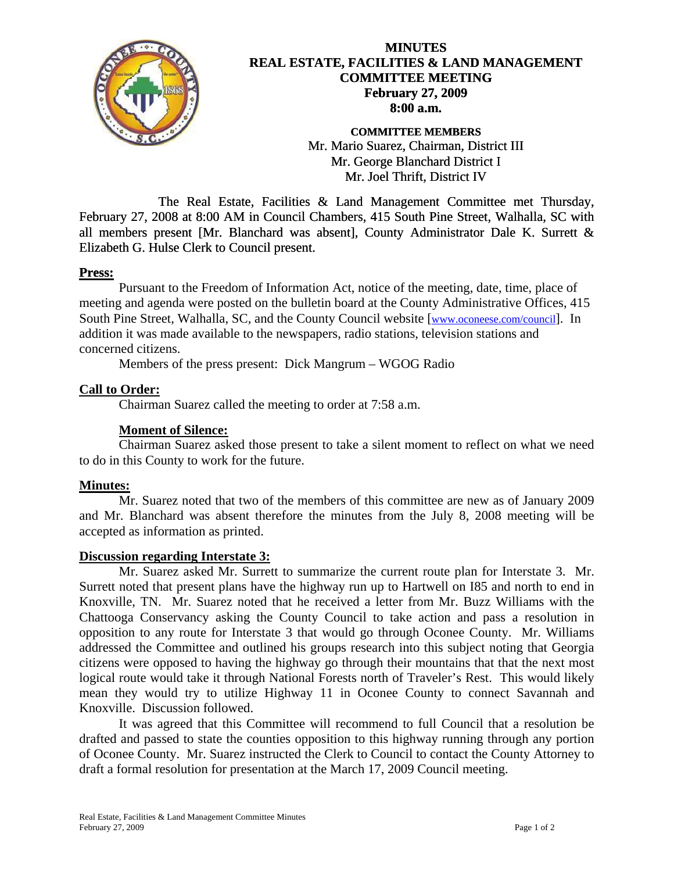

# **MINUTES REAL ESTATE, FACILITIES & LAND MANAGEMENT COMMITTEE MEETING February 27, 2009 8:00 a.m.**

**COMMITTEE MEMBERS**  Mr. Mario Suarez, Chairman, District III Mr. George Blanchard District I Mr. Joel Thrift, District IV

 The Real Estate, Facilities & Land Management Committee met Thursday, February 27, 2008 at 8:00 AM in Council Chambers, 415 South Pine Street, Walhalla, SC with all members present [Mr. Blanchard was absent], County Administrator Dale K. Surrett & Elizabeth G. Hulse Clerk to Council present.

# **Press:**

Pursuant to the Freedom of Information Act, notice of the meeting, date, time, place of meeting and agenda were posted on the bulletin board at the County Administrative Offices, 415 South Pine Street, Walhalla, SC, and the County Council website [\[www.oconeese.com/council\]](http://www.oconeese.com/council). In addition it was made available to the newspapers, radio stations, television stations and concerned citizens.

Members of the press present: Dick Mangrum – WGOG Radio

# **Call to Order:**

Chairman Suarez called the meeting to order at 7:58 a.m.

# **Moment of Silence:**

 Chairman Suarez asked those present to take a silent moment to reflect on what we need to do in this County to work for the future.

#### **Minutes:**

 Mr. Suarez noted that two of the members of this committee are new as of January 2009 and Mr. Blanchard was absent therefore the minutes from the July 8, 2008 meeting will be accepted as information as printed.

#### **Discussion regarding Interstate 3:**

Mr. Suarez asked Mr. Surrett to summarize the current route plan for Interstate 3. Mr. Surrett noted that present plans have the highway run up to Hartwell on I85 and north to end in Knoxville, TN. Mr. Suarez noted that he received a letter from Mr. Buzz Williams with the Chattooga Conservancy asking the County Council to take action and pass a resolution in opposition to any route for Interstate 3 that would go through Oconee County. Mr. Williams addressed the Committee and outlined his groups research into this subject noting that Georgia citizens were opposed to having the highway go through their mountains that that the next most logical route would take it through National Forests north of Traveler's Rest. This would likely mean they would try to utilize Highway 11 in Oconee County to connect Savannah and Knoxville. Discussion followed.

It was agreed that this Committee will recommend to full Council that a resolution be drafted and passed to state the counties opposition to this highway running through any portion of Oconee County. Mr. Suarez instructed the Clerk to Council to contact the County Attorney to draft a formal resolution for presentation at the March 17, 2009 Council meeting.